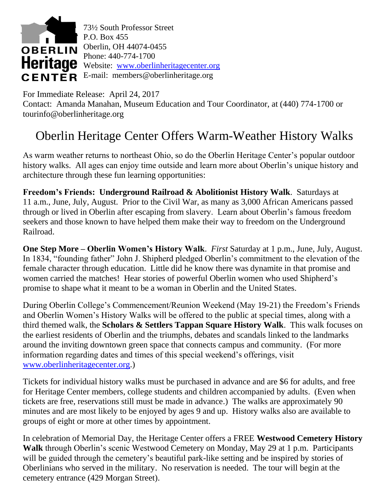

For Immediate Release: April 24, 2017

Contact: Amanda Manahan, Museum Education and Tour Coordinator, at (440) 774-1700 or [tourinfo@oberlinheritage.org](mailto:tourinfo@oberlinheritage.org)

## Oberlin Heritage Center Offers Warm-Weather History Walks

As warm weather returns to northeast Ohio, so do the Oberlin Heritage Center's popular outdoor history walks. All ages can enjoy time outside and learn more about Oberlin's unique history and architecture through these fun learning opportunities:

**Freedom's Friends: Underground Railroad & Abolitionist History Walk**. Saturdays at 11 a.m., June, July, August. Prior to the Civil War, as many as 3,000 African Americans passed through or lived in Oberlin after escaping from slavery. Learn about Oberlin's famous freedom seekers and those known to have helped them make their way to freedom on the Underground Railroad.

**One Step More – Oberlin Women's History Walk**. *First* Saturday at 1 p.m., June, July, August. In 1834, "founding father" John J. Shipherd pledged Oberlin's commitment to the elevation of the female character through education. Little did he know there was dynamite in that promise and women carried the matches! Hear stories of powerful Oberlin women who used Shipherd's promise to shape what it meant to be a woman in Oberlin and the United States.

During Oberlin College's Commencement/Reunion Weekend (May 19-21) the Freedom's Friends and Oberlin Women's History Walks will be offered to the public at special times, along with a third themed walk, the **Scholars & Settlers Tappan Square History Walk**. This walk focuses on the earliest residents of Oberlin and the triumphs, debates and scandals linked to the landmarks around the inviting downtown green space that connects campus and community. (For more information regarding dates and times of this special weekend's offerings, visit [www.oberlinheritagecenter.org.](http://www.oberlinheritagecenter.org/))

Tickets for individual history walks must be purchased in advance and are \$6 for adults, and free for Heritage Center members, college students and children accompanied by adults. (Even when tickets are free, reservations still must be made in advance.) The walks are approximately 90 minutes and are most likely to be enjoyed by ages 9 and up. History walks also are available to groups of eight or more at other times by appointment.

In celebration of Memorial Day, the Heritage Center offers a FREE **Westwood Cemetery History Walk** through Oberlin's scenic Westwood Cemetery on Monday, May 29 at 1 p.m. Participants will be guided through the cemetery's beautiful park-like setting and be inspired by stories of Oberlinians who served in the military. No reservation is needed. The tour will begin at the cemetery entrance (429 Morgan Street).